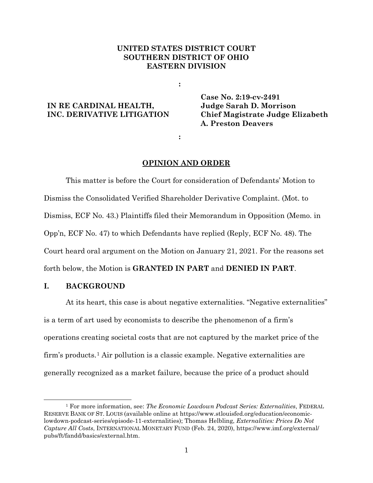## **UNITED STATES DISTRICT COURT SOUTHERN DISTRICT OF OHIO EASTERN DIVISION**

**:**

**:**

# **IN RE CARDINAL HEALTH, INC. DERIVATIVE LITIGATION**

**Case No. 2:19-cv-2491 Judge Sarah D. Morrison Chief Magistrate Judge Elizabeth A. Preston Deavers**

#### **OPINION AND ORDER**

This matter is before the Court for consideration of Defendants' Motion to Dismiss the Consolidated Verified Shareholder Derivative Complaint. (Mot. to Dismiss, ECF No. 43.) Plaintiffs filed their Memorandum in Opposition (Memo. in Opp'n, ECF No. 47) to which Defendants have replied (Reply, ECF No. 48). The Court heard oral argument on the Motion on January 21, 2021. For the reasons set forth below, the Motion is **GRANTED IN PART** and **DENIED IN PART**.

## **I. BACKGROUND**

At its heart, this case is about negative externalities. "Negative externalities" is a term of art used by economists to describe the phenomenon of a firm's operations creating societal costs that are not captured by the market price of the firm's products.1 Air pollution is a classic example. Negative externalities are generally recognized as a market failure, because the price of a product should

<sup>1</sup> For more information, see: *The Economic Lowdown Podcast Series: Externalities*, FEDERAL RESERVE BANK OF ST. LOUIS (available online at https://www.stlouisfed.org/education/economiclowdown-podcast-series/episode-11-externalities); Thomas Helbling, *Externalities: Prices Do Not Capture All Costs*, INTERNATIONAL MONETARY FUND (Feb. 24, 2020), https://www.imf.org/external/ pubs/ft/fandd/basics/external.htm.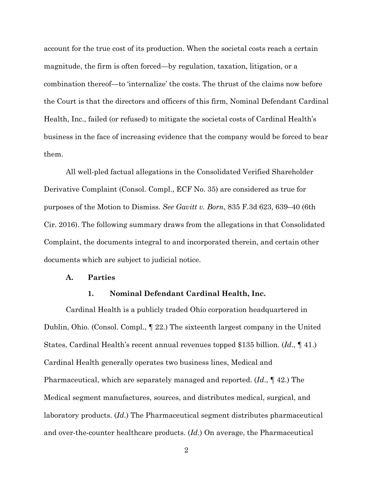account for the true cost of its production. When the societal costs reach a certain magnitude, the firm is often forced—by regulation, taxation, litigation, or a combination thereof—to 'internalize' the costs. The thrust of the claims now before the Court is that the directors and officers of this firm, Nominal Defendant Cardinal Health, Inc., failed (or refused) to mitigate the societal costs of Cardinal Health's business in the face of increasing evidence that the company would be forced to bear them.

All well-pled factual allegations in the Consolidated Verified Shareholder Derivative Complaint (Consol. Compl., ECF No. 35) are considered as true for purposes of the Motion to Dismiss. *See Gavitt v. Born*, 835 F.3d 623, 639–40 (6th Cir. 2016). The following summary draws from the allegations in that Consolidated Complaint, the documents integral to and incorporated therein, and certain other documents which are subject to judicial notice.

#### **A. Parties**

#### **1. Nominal Defendant Cardinal Health, Inc.**

Cardinal Health is a publicly traded Ohio corporation headquartered in Dublin, Ohio. (Consol. Compl., ¶ 22.) The sixteenth largest company in the United States, Cardinal Health's recent annual revenues topped \$135 billion. (*Id*., ¶ 41.) Cardinal Health generally operates two business lines, Medical and Pharmaceutical, which are separately managed and reported. (*Id*., ¶ 42.) The Medical segment manufactures, sources, and distributes medical, surgical, and laboratory products. (*Id*.) The Pharmaceutical segment distributes pharmaceutical and over-the-counter healthcare products. (*Id*.) On average, the Pharmaceutical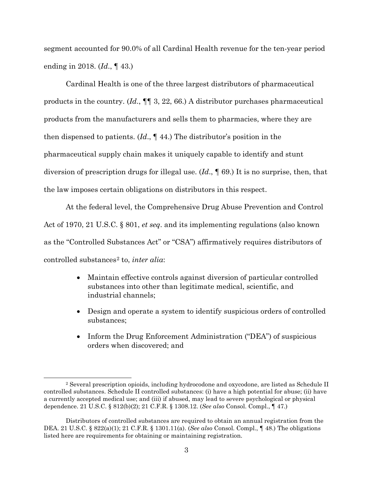segment accounted for 90.0% of all Cardinal Health revenue for the ten-year period ending in 2018. (*Id*., ¶ 43.)

Cardinal Health is one of the three largest distributors of pharmaceutical products in the country. (*Id*., ¶¶ 3, 22, 66.) A distributor purchases pharmaceutical products from the manufacturers and sells them to pharmacies, where they are then dispensed to patients. (*Id*., ¶ 44.) The distributor's position in the pharmaceutical supply chain makes it uniquely capable to identify and stunt diversion of prescription drugs for illegal use. (*Id*., ¶ 69.) It is no surprise, then, that the law imposes certain obligations on distributors in this respect.

At the federal level, the Comprehensive Drug Abuse Prevention and Control Act of 1970, 21 U.S.C. § 801, *et seq*. and its implementing regulations (also known as the "Controlled Substances Act" or "CSA") affirmatively requires distributors of controlled substances2 to, *inter alia*:

- Maintain effective controls against diversion of particular controlled substances into other than legitimate medical, scientific, and industrial channels;
- Design and operate a system to identify suspicious orders of controlled substances;
- Inform the Drug Enforcement Administration ("DEA") of suspicious orders when discovered; and

<sup>2</sup> Several prescription opioids, including hydrocodone and oxycodone, are listed as Schedule II controlled substances. Schedule II controlled substances: (i) have a high potential for abuse; (ii) have a currently accepted medical use; and (iii) if abused, may lead to severe psychological or physical dependence. 21 U.S.C. § 812(b)(2); 21 C.F.R. § 1308.12. (*See also* Consol. Compl., ¶ 47.)

Distributors of controlled substances are required to obtain an annual registration from the DEA. 21 U.S.C. § 822(a)(1); 21 C.F.R. § 1301.11(a). (*See also* Consol. Compl., ¶ 48.) The obligations listed here are requirements for obtaining or maintaining registration.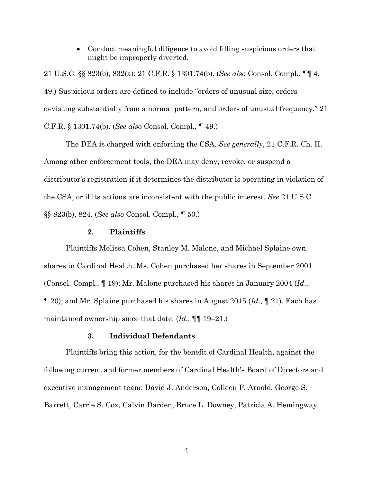• Conduct meaningful diligence to avoid filling suspicious orders that might be improperly diverted.

21 U.S.C. §§ 823(b), 832(a); 21 C.F.R. § 1301.74(b). (*See also* Consol. Compl., ¶¶ 4, 49.) Suspicious orders are defined to include "orders of unusual size, orders deviating substantially from a normal pattern, and orders of unusual frequency." 21 C.F.R. § 1301.74(b). (*See also* Consol. Compl., ¶ 49.)

The DEA is charged with enforcing the CSA. *See generally*, 21 C.F.R. Ch. II. Among other enforcement tools, the DEA may deny, revoke, or suspend a distributor's registration if it determines the distributor is operating in violation of the CSA, or if its actions are inconsistent with the public interest. *See* 21 U.S.C. §§ 823(b), 824. (*See also* Consol. Compl., ¶ 50.)

### **2. Plaintiffs**

Plaintiffs Melissa Cohen, Stanley M. Malone, and Michael Splaine own shares in Cardinal Health. Ms. Cohen purchased her shares in September 2001 (Consol. Compl., ¶ 19); Mr. Malone purchased his shares in January 2004 (*Id*., ¶ 20); and Mr. Splaine purchased his shares in August 2015 (*Id*., ¶ 21). Each has maintained ownership since that date. (*Id*., ¶¶ 19–21.)

### **3. Individual Defendants**

Plaintiffs bring this action, for the benefit of Cardinal Health, against the following current and former members of Cardinal Health's Board of Directors and executive management team: David J. Anderson, Colleen F. Arnold, George S. Barrett, Carrie S. Cox, Calvin Darden, Bruce L. Downey, Patricia A. Hemingway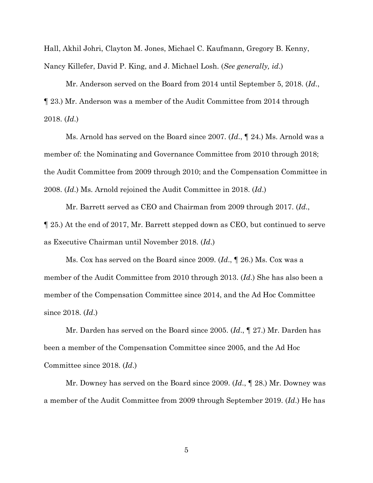Hall, Akhil Johri, Clayton M. Jones, Michael C. Kaufmann, Gregory B. Kenny, Nancy Killefer, David P. King, and J. Michael Losh. (*See generally, id*.)

Mr. Anderson served on the Board from 2014 until September 5, 2018. (*Id*., ¶ 23.) Mr. Anderson was a member of the Audit Committee from 2014 through 2018. (*Id*.)

Ms. Arnold has served on the Board since 2007. (*Id*., ¶ 24.) Ms. Arnold was a member of: the Nominating and Governance Committee from 2010 through 2018; the Audit Committee from 2009 through 2010; and the Compensation Committee in 2008. (*Id*.) Ms. Arnold rejoined the Audit Committee in 2018. (*Id*.)

Mr. Barrett served as CEO and Chairman from 2009 through 2017. (*Id*., ¶ 25.) At the end of 2017, Mr. Barrett stepped down as CEO, but continued to serve as Executive Chairman until November 2018. (*Id*.)

Ms. Cox has served on the Board since 2009. (*Id*., ¶ 26.) Ms. Cox was a member of the Audit Committee from 2010 through 2013. (*Id*.) She has also been a member of the Compensation Committee since 2014, and the Ad Hoc Committee since 2018. (*Id*.)

Mr. Darden has served on the Board since 2005. (*Id*., ¶ 27.) Mr. Darden has been a member of the Compensation Committee since 2005, and the Ad Hoc Committee since 2018. (*Id*.)

Mr. Downey has served on the Board since 2009. (*Id*., ¶ 28.) Mr. Downey was a member of the Audit Committee from 2009 through September 2019. (*Id*.) He has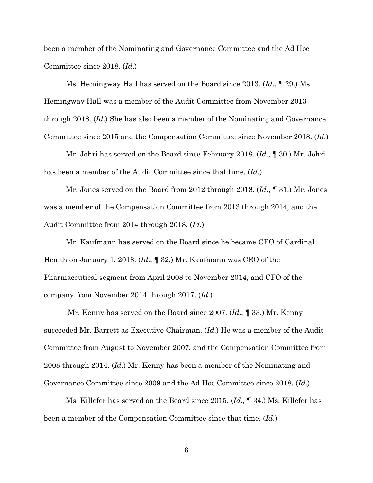been a member of the Nominating and Governance Committee and the Ad Hoc Committee since 2018. (*Id*.)

Ms. Hemingway Hall has served on the Board since 2013. (*Id*., ¶ 29.) Ms. Hemingway Hall was a member of the Audit Committee from November 2013 through 2018. (*Id*.) She has also been a member of the Nominating and Governance Committee since 2015 and the Compensation Committee since November 2018. (*Id*.)

Mr. Johri has served on the Board since February 2018. (*Id*., ¶ 30.) Mr. Johri has been a member of the Audit Committee since that time. (*Id*.)

Mr. Jones served on the Board from 2012 through 2018. (*Id*., ¶ 31.) Mr. Jones was a member of the Compensation Committee from 2013 through 2014, and the Audit Committee from 2014 through 2018. (*Id*.)

Mr. Kaufmann has served on the Board since he became CEO of Cardinal Health on January 1, 2018. (*Id*., ¶ 32.) Mr. Kaufmann was CEO of the Pharmaceutical segment from April 2008 to November 2014, and CFO of the company from November 2014 through 2017. (*Id*.)

Mr. Kenny has served on the Board since 2007. (*Id*., ¶ 33.) Mr. Kenny succeeded Mr. Barrett as Executive Chairman. (*Id*.) He was a member of the Audit Committee from August to November 2007, and the Compensation Committee from 2008 through 2014. (*Id*.) Mr. Kenny has been a member of the Nominating and Governance Committee since 2009 and the Ad Hoc Committee since 2018. (*Id*.)

Ms. Killefer has served on the Board since 2015. (*Id*., ¶ 34.) Ms. Killefer has been a member of the Compensation Committee since that time. (*Id*.)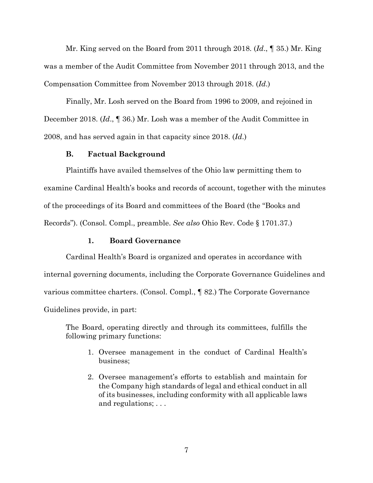Mr. King served on the Board from 2011 through 2018. (*Id*., ¶ 35.) Mr. King was a member of the Audit Committee from November 2011 through 2013, and the Compensation Committee from November 2013 through 2018. (*Id*.)

Finally, Mr. Losh served on the Board from 1996 to 2009, and rejoined in December 2018. (*Id*., ¶ 36.) Mr. Losh was a member of the Audit Committee in 2008, and has served again in that capacity since 2018. (*Id*.)

## **B. Factual Background**

Plaintiffs have availed themselves of the Ohio law permitting them to examine Cardinal Health's books and records of account, together with the minutes of the proceedings of its Board and committees of the Board (the "Books and Records"). (Consol. Compl., preamble. *See also* Ohio Rev. Code § 1701.37.)

### **1. Board Governance**

Cardinal Health's Board is organized and operates in accordance with internal governing documents, including the Corporate Governance Guidelines and various committee charters. (Consol. Compl., ¶ 82.) The Corporate Governance Guidelines provide, in part:

The Board, operating directly and through its committees, fulfills the following primary functions:

- 1. Oversee management in the conduct of Cardinal Health's business;
- 2. Oversee management's efforts to establish and maintain for the Company high standards of legal and ethical conduct in all of its businesses, including conformity with all applicable laws and regulations; . . .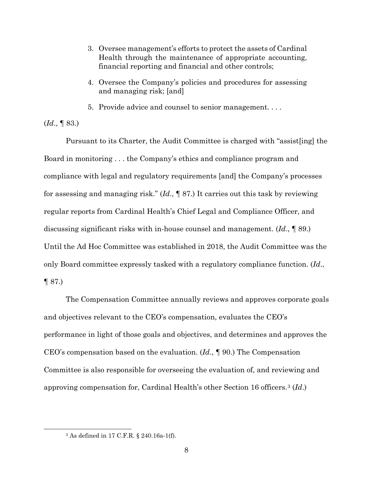- 3. Oversee management's efforts to protect the assets of Cardinal Health through the maintenance of appropriate accounting, financial reporting and financial and other controls;
- 4. Oversee the Company's policies and procedures for assessing and managing risk; [and]
- 5. Provide advice and counsel to senior management. . . .

(*Id*., ¶ 83.)

Pursuant to its Charter, the Audit Committee is charged with "assist[ing] the Board in monitoring . . . the Company's ethics and compliance program and compliance with legal and regulatory requirements [and] the Company's processes for assessing and managing risk." (*Id*., ¶ 87.) It carries out this task by reviewing regular reports from Cardinal Health's Chief Legal and Compliance Officer, and discussing significant risks with in-house counsel and management. (*Id*., ¶ 89.) Until the Ad Hoc Committee was established in 2018, the Audit Committee was the only Board committee expressly tasked with a regulatory compliance function. (*Id*., ¶ 87.)

The Compensation Committee annually reviews and approves corporate goals and objectives relevant to the CEO's compensation, evaluates the CEO's performance in light of those goals and objectives, and determines and approves the CEO's compensation based on the evaluation. (*Id*., ¶ 90.) The Compensation Committee is also responsible for overseeing the evaluation of, and reviewing and approving compensation for, Cardinal Health's other Section 16 officers.3 (*Id*.)

<sup>3</sup> As defined in 17 C.F.R. § 240.16a-1(f).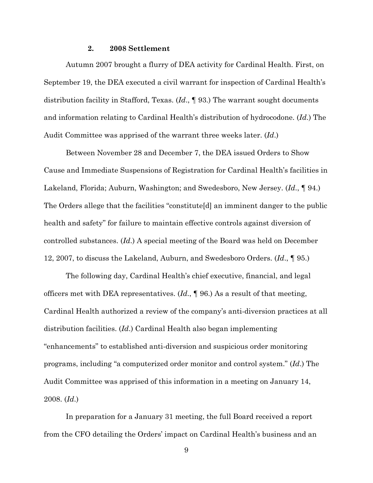#### **2. 2008 Settlement**

Autumn 2007 brought a flurry of DEA activity for Cardinal Health. First, on September 19, the DEA executed a civil warrant for inspection of Cardinal Health's distribution facility in Stafford, Texas. (*Id*., ¶ 93.) The warrant sought documents and information relating to Cardinal Health's distribution of hydrocodone. (*Id*.) The Audit Committee was apprised of the warrant three weeks later. (*Id*.)

Between November 28 and December 7, the DEA issued Orders to Show Cause and Immediate Suspensions of Registration for Cardinal Health's facilities in Lakeland, Florida; Auburn, Washington; and Swedesboro, New Jersey. (*Id*., ¶ 94.) The Orders allege that the facilities "constitute[d] an imminent danger to the public health and safety" for failure to maintain effective controls against diversion of controlled substances. (*Id*.) A special meeting of the Board was held on December 12, 2007, to discuss the Lakeland, Auburn, and Swedesboro Orders. (*Id*., ¶ 95.)

The following day, Cardinal Health's chief executive, financial, and legal officers met with DEA representatives. (*Id*., ¶ 96.) As a result of that meeting, Cardinal Health authorized a review of the company's anti-diversion practices at all distribution facilities. (*Id*.) Cardinal Health also began implementing "enhancements" to established anti-diversion and suspicious order monitoring programs, including "a computerized order monitor and control system." (*Id*.) The Audit Committee was apprised of this information in a meeting on January 14, 2008. (*Id*.)

In preparation for a January 31 meeting, the full Board received a report from the CFO detailing the Orders' impact on Cardinal Health's business and an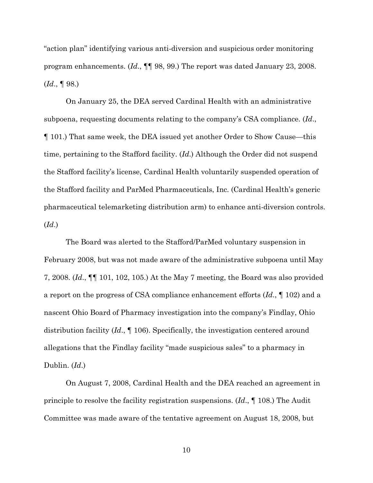"action plan" identifying various anti-diversion and suspicious order monitoring program enhancements. (*Id*., ¶¶ 98, 99.) The report was dated January 23, 2008. (*Id*., ¶ 98.)

On January 25, the DEA served Cardinal Health with an administrative subpoena, requesting documents relating to the company's CSA compliance. (*Id*., ¶ 101.) That same week, the DEA issued yet another Order to Show Cause—this time, pertaining to the Stafford facility. (*Id*.) Although the Order did not suspend the Stafford facility's license, Cardinal Health voluntarily suspended operation of the Stafford facility and ParMed Pharmaceuticals, Inc. (Cardinal Health's generic pharmaceutical telemarketing distribution arm) to enhance anti-diversion controls. (*Id*.)

The Board was alerted to the Stafford/ParMed voluntary suspension in February 2008, but was not made aware of the administrative subpoena until May 7, 2008. (*Id*., ¶¶ 101, 102, 105.) At the May 7 meeting, the Board was also provided a report on the progress of CSA compliance enhancement efforts (*Id*., ¶ 102) and a nascent Ohio Board of Pharmacy investigation into the company's Findlay, Ohio distribution facility (*Id*., ¶ 106). Specifically, the investigation centered around allegations that the Findlay facility "made suspicious sales" to a pharmacy in Dublin. (*Id*.)

On August 7, 2008, Cardinal Health and the DEA reached an agreement in principle to resolve the facility registration suspensions. (*Id*., ¶ 108.) The Audit Committee was made aware of the tentative agreement on August 18, 2008, but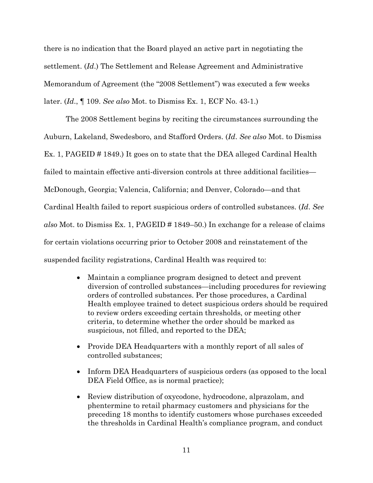there is no indication that the Board played an active part in negotiating the settlement. (*Id*.) The Settlement and Release Agreement and Administrative Memorandum of Agreement (the "2008 Settlement") was executed a few weeks later. (*Id*., ¶ 109. *See also* Mot. to Dismiss Ex. 1, ECF No. 43-1.)

The 2008 Settlement begins by reciting the circumstances surrounding the Auburn, Lakeland, Swedesboro, and Stafford Orders. (*Id*. *See also* Mot. to Dismiss Ex. 1, PAGEID # 1849.) It goes on to state that the DEA alleged Cardinal Health failed to maintain effective anti-diversion controls at three additional facilities— McDonough, Georgia; Valencia, California; and Denver, Colorado—and that Cardinal Health failed to report suspicious orders of controlled substances. (*Id*. *See also* Mot. to Dismiss Ex. 1, PAGEID # 1849–50.) In exchange for a release of claims for certain violations occurring prior to October 2008 and reinstatement of the suspended facility registrations, Cardinal Health was required to:

- Maintain a compliance program designed to detect and prevent diversion of controlled substances—including procedures for reviewing orders of controlled substances. Per those procedures, a Cardinal Health employee trained to detect suspicious orders should be required to review orders exceeding certain thresholds, or meeting other criteria, to determine whether the order should be marked as suspicious, not filled, and reported to the DEA;
- Provide DEA Headquarters with a monthly report of all sales of controlled substances;
- Inform DEA Headquarters of suspicious orders (as opposed to the local DEA Field Office, as is normal practice);
- Review distribution of oxycodone, hydrocodone, alprazolam, and phentermine to retail pharmacy customers and physicians for the preceding 18 months to identify customers whose purchases exceeded the thresholds in Cardinal Health's compliance program, and conduct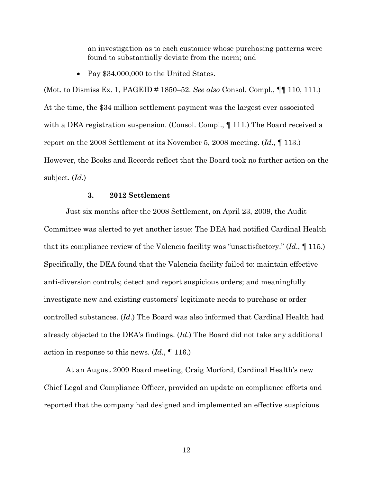an investigation as to each customer whose purchasing patterns were found to substantially deviate from the norm; and

• Pay \$34,000,000 to the United States.

(Mot. to Dismiss Ex. 1, PAGEID # 1850–52. *See also* Consol. Compl., ¶¶ 110, 111.) At the time, the \$34 million settlement payment was the largest ever associated with a DEA registration suspension. (Consol. Compl.,  $\P$  111.) The Board received a report on the 2008 Settlement at its November 5, 2008 meeting. (*Id*., ¶ 113.) However, the Books and Records reflect that the Board took no further action on the subject. (*Id*.)

### **3. 2012 Settlement**

Just six months after the 2008 Settlement, on April 23, 2009, the Audit Committee was alerted to yet another issue: The DEA had notified Cardinal Health that its compliance review of the Valencia facility was "unsatisfactory." (*Id*., ¶ 115.) Specifically, the DEA found that the Valencia facility failed to: maintain effective anti-diversion controls; detect and report suspicious orders; and meaningfully investigate new and existing customers' legitimate needs to purchase or order controlled substances. (*Id*.) The Board was also informed that Cardinal Health had already objected to the DEA's findings. (*Id*.) The Board did not take any additional action in response to this news. (*Id*., ¶ 116.)

At an August 2009 Board meeting, Craig Morford, Cardinal Health's new Chief Legal and Compliance Officer, provided an update on compliance efforts and reported that the company had designed and implemented an effective suspicious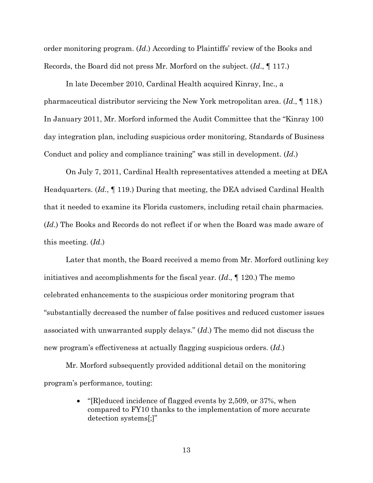order monitoring program. (*Id*.) According to Plaintiffs' review of the Books and Records, the Board did not press Mr. Morford on the subject. (*Id*., ¶ 117.)

In late December 2010, Cardinal Health acquired Kinray, Inc., a pharmaceutical distributor servicing the New York metropolitan area. (*Id*., ¶ 118.) In January 2011, Mr. Morford informed the Audit Committee that the "Kinray 100 day integration plan, including suspicious order monitoring, Standards of Business Conduct and policy and compliance training" was still in development. (*Id*.)

On July 7, 2011, Cardinal Health representatives attended a meeting at DEA Headquarters. (*Id*., ¶ 119.) During that meeting, the DEA advised Cardinal Health that it needed to examine its Florida customers, including retail chain pharmacies. (*Id*.) The Books and Records do not reflect if or when the Board was made aware of this meeting. (*Id*.)

Later that month, the Board received a memo from Mr. Morford outlining key initiatives and accomplishments for the fiscal year. (*Id*., ¶ 120.) The memo celebrated enhancements to the suspicious order monitoring program that "substantially decreased the number of false positives and reduced customer issues associated with unwarranted supply delays." (*Id*.) The memo did not discuss the new program's effectiveness at actually flagging suspicious orders. (*Id*.)

Mr. Morford subsequently provided additional detail on the monitoring program's performance, touting:

> • "[R]educed incidence of flagged events by 2,509, or 37%, when compared to FY10 thanks to the implementation of more accurate detection systems[;]"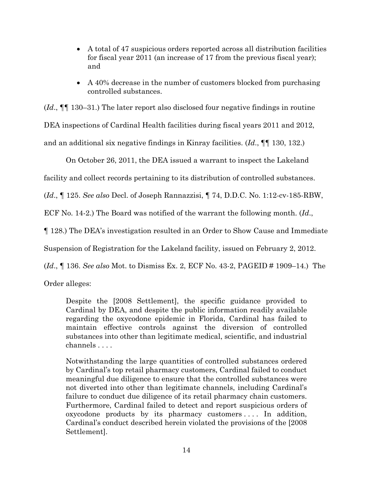- A total of 47 suspicious orders reported across all distribution facilities for fiscal year 2011 (an increase of 17 from the previous fiscal year); and
- A 40% decrease in the number of customers blocked from purchasing controlled substances.

(*Id*., ¶¶ 130–31.) The later report also disclosed four negative findings in routine DEA inspections of Cardinal Health facilities during fiscal years 2011 and 2012, and an additional six negative findings in Kinray facilities. (*Id*., ¶¶ 130, 132.)

On October 26, 2011, the DEA issued a warrant to inspect the Lakeland

facility and collect records pertaining to its distribution of controlled substances.

(*Id*., ¶ 125. *See also* Decl. of Joseph Rannazzisi, ¶ 74, D.D.C. No. 1:12-cv-185-RBW,

ECF No. 14-2.) The Board was notified of the warrant the following month. (*Id*.,

¶ 128.) The DEA's investigation resulted in an Order to Show Cause and Immediate

Suspension of Registration for the Lakeland facility, issued on February 2, 2012.

(*Id*., ¶ 136. *See also* Mot. to Dismiss Ex. 2, ECF No. 43-2, PAGEID # 1909–14.) The

Order alleges:

Despite the [2008 Settlement], the specific guidance provided to Cardinal by DEA, and despite the public information readily available regarding the oxycodone epidemic in Florida, Cardinal has failed to maintain effective controls against the diversion of controlled substances into other than legitimate medical, scientific, and industrial channels . . . .

Notwithstanding the large quantities of controlled substances ordered by Cardinal's top retail pharmacy customers, Cardinal failed to conduct meaningful due diligence to ensure that the controlled substances were not diverted into other than legitimate channels, including Cardinal's failure to conduct due diligence of its retail pharmacy chain customers. Furthermore, Cardinal failed to detect and report suspicious orders of oxycodone products by its pharmacy customers . . . . In addition, Cardinal's conduct described herein violated the provisions of the [2008 Settlement].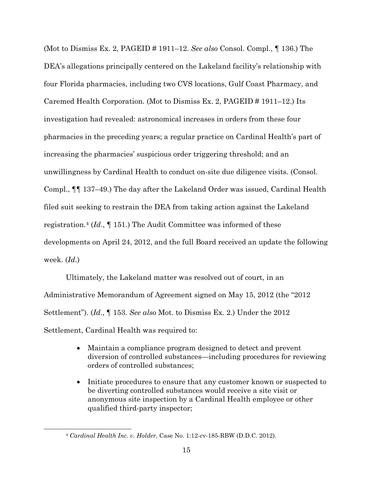(Mot to Dismiss Ex. 2, PAGEID # 1911–12. *See also* Consol. Compl., ¶ 136.) The DEA's allegations principally centered on the Lakeland facility's relationship with four Florida pharmacies, including two CVS locations, Gulf Coast Pharmacy, and Caremed Health Corporation. (Mot to Dismiss Ex. 2, PAGEID # 1911–12.) Its investigation had revealed: astronomical increases in orders from these four pharmacies in the preceding years; a regular practice on Cardinal Health's part of increasing the pharmacies' suspicious order triggering threshold; and an unwillingness by Cardinal Health to conduct on-site due diligence visits. (Consol. Compl., ¶¶ 137–49.) The day after the Lakeland Order was issued, Cardinal Health filed suit seeking to restrain the DEA from taking action against the Lakeland registration.4 (*Id*., ¶ 151.) The Audit Committee was informed of these developments on April 24, 2012, and the full Board received an update the following week. (*Id*.)

Ultimately, the Lakeland matter was resolved out of court, in an Administrative Memorandum of Agreement signed on May 15, 2012 (the "2012 Settlement"). (*Id*., ¶ 153. *See also* Mot. to Dismiss Ex. 2.) Under the 2012 Settlement, Cardinal Health was required to:

- Maintain a compliance program designed to detect and prevent diversion of controlled substances—including procedures for reviewing orders of controlled substances;
- Initiate procedures to ensure that any customer known or suspected to be diverting controlled substances would receive a site visit or anonymous site inspection by a Cardinal Health employee or other qualified third-party inspector;

<sup>4</sup> *Cardinal Health Inc. v. Holder*, Case No. 1:12-cv-185-RBW (D.D.C. 2012).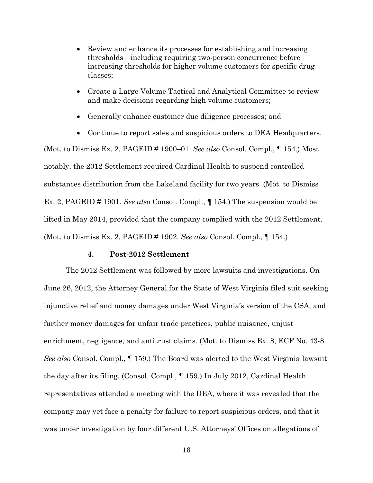- Review and enhance its processes for establishing and increasing thresholds—including requiring two-person concurrence before increasing thresholds for higher volume customers for specific drug classes;
- Create a Large Volume Tactical and Analytical Committee to review and make decisions regarding high volume customers;
- Generally enhance customer due diligence processes; and
- Continue to report sales and suspicious orders to DEA Headquarters.

(Mot. to Dismiss Ex. 2, PAGEID # 1900–01. *See also* Consol. Compl., ¶ 154.) Most notably, the 2012 Settlement required Cardinal Health to suspend controlled substances distribution from the Lakeland facility for two years. (Mot. to Dismiss Ex. 2, PAGEID # 1901. *See also* Consol. Compl., ¶ 154.) The suspension would be lifted in May 2014, provided that the company complied with the 2012 Settlement. (Mot. to Dismiss Ex. 2, PAGEID # 1902. *See also* Consol. Compl., ¶ 154.)

#### **4. Post-2012 Settlement**

The 2012 Settlement was followed by more lawsuits and investigations. On June 26, 2012, the Attorney General for the State of West Virginia filed suit seeking injunctive relief and money damages under West Virginia's version of the CSA, and further money damages for unfair trade practices, public nuisance, unjust enrichment, negligence, and antitrust claims. (Mot. to Dismiss Ex. 8, ECF No. 43-8. *See also* Consol. Compl., ¶ 159.) The Board was alerted to the West Virginia lawsuit the day after its filing. (Consol. Compl., ¶ 159.) In July 2012, Cardinal Health representatives attended a meeting with the DEA, where it was revealed that the company may yet face a penalty for failure to report suspicious orders, and that it was under investigation by four different U.S. Attorneys' Offices on allegations of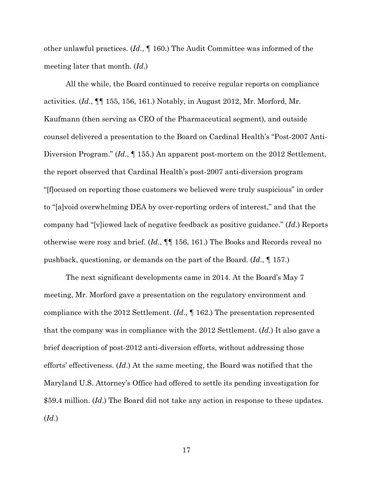other unlawful practices. (*Id*., ¶ 160.) The Audit Committee was informed of the meeting later that month. (*Id*.)

All the while, the Board continued to receive regular reports on compliance activities. (*Id*., ¶¶ 155, 156, 161.) Notably, in August 2012, Mr. Morford, Mr. Kaufmann (then serving as CEO of the Pharmaceutical segment), and outside counsel delivered a presentation to the Board on Cardinal Health's "Post-2007 Anti-Diversion Program." (*Id*., ¶ 155.) An apparent post-mortem on the 2012 Settlement, the report observed that Cardinal Health's post-2007 anti-diversion program "[f]ocused on reporting those customers we believed were truly suspicious" in order to "[a]void overwhelming DEA by over-reporting orders of interest," and that the company had "[v]iewed lack of negative feedback as positive guidance." (*Id*.) Reports otherwise were rosy and brief. (*Id*., ¶¶ 156, 161.) The Books and Records reveal no pushback, questioning, or demands on the part of the Board. (*Id*., ¶ 157.)

The next significant developments came in 2014. At the Board's May 7 meeting, Mr. Morford gave a presentation on the regulatory environment and compliance with the 2012 Settlement. (*Id*., ¶ 162.) The presentation represented that the company was in compliance with the 2012 Settlement. (*Id*.) It also gave a brief description of post-2012 anti-diversion efforts, without addressing those efforts' effectiveness. (*Id*.) At the same meeting, the Board was notified that the Maryland U.S. Attorney's Office had offered to settle its pending investigation for \$59.4 million. (*Id*.) The Board did not take any action in response to these updates. (*Id*.)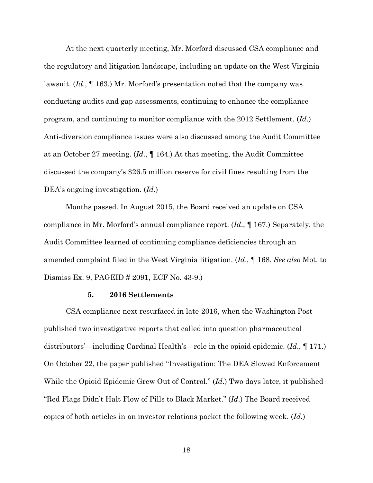At the next quarterly meeting, Mr. Morford discussed CSA compliance and the regulatory and litigation landscape, including an update on the West Virginia lawsuit. (*Id*., ¶ 163.) Mr. Morford's presentation noted that the company was conducting audits and gap assessments, continuing to enhance the compliance program, and continuing to monitor compliance with the 2012 Settlement. (*Id*.) Anti-diversion compliance issues were also discussed among the Audit Committee at an October 27 meeting. (*Id*., ¶ 164.) At that meeting, the Audit Committee discussed the company's \$26.5 million reserve for civil fines resulting from the DEA's ongoing investigation. (*Id*.)

Months passed. In August 2015, the Board received an update on CSA compliance in Mr. Morford's annual compliance report. (*Id*., ¶ 167.) Separately, the Audit Committee learned of continuing compliance deficiencies through an amended complaint filed in the West Virginia litigation. (*Id*., ¶ 168. *See also* Mot. to Dismiss Ex. 9, PAGEID # 2091, ECF No. 43-9.)

#### **5. 2016 Settlements**

CSA compliance next resurfaced in late-2016, when the Washington Post published two investigative reports that called into question pharmaceutical distributors'—including Cardinal Health's—role in the opioid epidemic. (*Id*., ¶ 171.) On October 22, the paper published "Investigation: The DEA Slowed Enforcement While the Opioid Epidemic Grew Out of Control." (*Id*.) Two days later, it published "Red Flags Didn't Halt Flow of Pills to Black Market." (*Id*.) The Board received copies of both articles in an investor relations packet the following week. (*Id*.)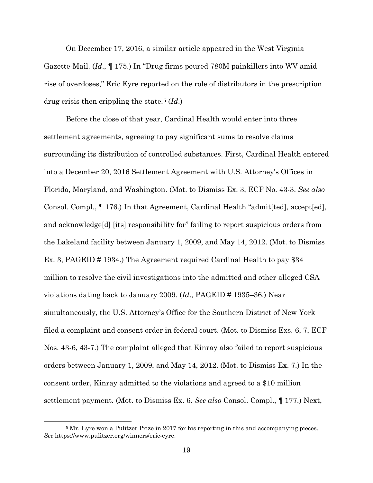On December 17, 2016, a similar article appeared in the West Virginia Gazette-Mail. (*Id*., ¶ 175.) In "Drug firms poured 780M painkillers into WV amid rise of overdoses," Eric Eyre reported on the role of distributors in the prescription drug crisis then crippling the state.5 (*Id*.)

Before the close of that year, Cardinal Health would enter into three settlement agreements, agreeing to pay significant sums to resolve claims surrounding its distribution of controlled substances. First, Cardinal Health entered into a December 20, 2016 Settlement Agreement with U.S. Attorney's Offices in Florida, Maryland, and Washington. (Mot. to Dismiss Ex. 3, ECF No. 43-3. *See also*  Consol. Compl., ¶ 176.) In that Agreement, Cardinal Health "admit[ted], accept[ed], and acknowledge[d] [its] responsibility for" failing to report suspicious orders from the Lakeland facility between January 1, 2009, and May 14, 2012. (Mot. to Dismiss Ex. 3, PAGEID # 1934.) The Agreement required Cardinal Health to pay \$34 million to resolve the civil investigations into the admitted and other alleged CSA violations dating back to January 2009. (*Id*., PAGEID # 1935–36.) Near simultaneously, the U.S. Attorney's Office for the Southern District of New York filed a complaint and consent order in federal court. (Mot. to Dismiss Exs. 6, 7, ECF Nos. 43-6, 43-7.) The complaint alleged that Kinray also failed to report suspicious orders between January 1, 2009, and May 14, 2012. (Mot. to Dismiss Ex. 7.) In the consent order, Kinray admitted to the violations and agreed to a \$10 million settlement payment. (Mot. to Dismiss Ex. 6. *See also* Consol. Compl., ¶ 177.) Next,

<sup>&</sup>lt;sup>5</sup> Mr. Eyre won a Pulitzer Prize in 2017 for his reporting in this and accompanying pieces. *See* https://www.pulitzer.org/winners/eric-eyre.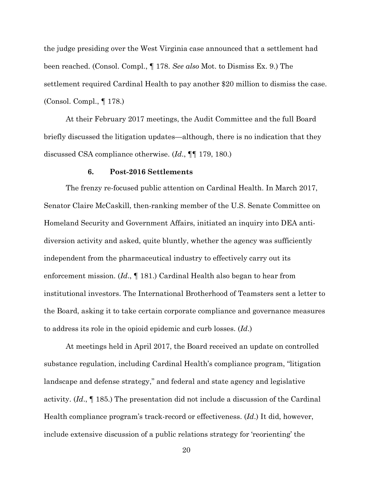the judge presiding over the West Virginia case announced that a settlement had been reached. (Consol. Compl., ¶ 178. *See also* Mot. to Dismiss Ex. 9.) The settlement required Cardinal Health to pay another \$20 million to dismiss the case. (Consol. Compl., ¶ 178.)

At their February 2017 meetings, the Audit Committee and the full Board briefly discussed the litigation updates—although, there is no indication that they discussed CSA compliance otherwise. (*Id*., ¶¶ 179, 180.)

### **6. Post-2016 Settlements**

The frenzy re-focused public attention on Cardinal Health. In March 2017, Senator Claire McCaskill, then-ranking member of the U.S. Senate Committee on Homeland Security and Government Affairs, initiated an inquiry into DEA antidiversion activity and asked, quite bluntly, whether the agency was sufficiently independent from the pharmaceutical industry to effectively carry out its enforcement mission. (*Id*., ¶ 181.) Cardinal Health also began to hear from institutional investors. The International Brotherhood of Teamsters sent a letter to the Board, asking it to take certain corporate compliance and governance measures to address its role in the opioid epidemic and curb losses. (*Id*.)

At meetings held in April 2017, the Board received an update on controlled substance regulation, including Cardinal Health's compliance program, "litigation landscape and defense strategy," and federal and state agency and legislative activity. (*Id*., ¶ 185.) The presentation did not include a discussion of the Cardinal Health compliance program's track-record or effectiveness. (*Id*.) It did, however, include extensive discussion of a public relations strategy for 'reorienting' the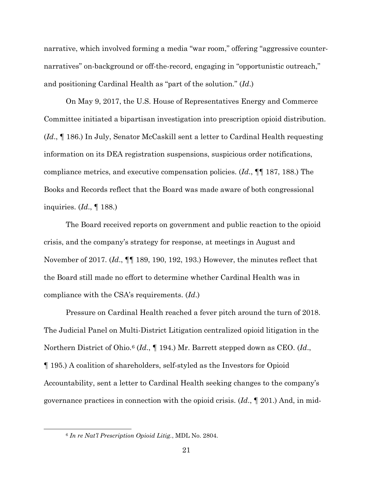narrative, which involved forming a media "war room," offering "aggressive counternarratives" on-background or off-the-record, engaging in "opportunistic outreach," and positioning Cardinal Health as "part of the solution." (*Id*.)

On May 9, 2017, the U.S. House of Representatives Energy and Commerce Committee initiated a bipartisan investigation into prescription opioid distribution. (*Id*., ¶ 186.) In July, Senator McCaskill sent a letter to Cardinal Health requesting information on its DEA registration suspensions, suspicious order notifications, compliance metrics, and executive compensation policies. (*Id*., ¶¶ 187, 188.) The Books and Records reflect that the Board was made aware of both congressional inquiries. (*Id*., ¶ 188.)

The Board received reports on government and public reaction to the opioid crisis, and the company's strategy for response, at meetings in August and November of 2017. (*Id*., ¶¶ 189, 190, 192, 193.) However, the minutes reflect that the Board still made no effort to determine whether Cardinal Health was in compliance with the CSA's requirements. (*Id*.)

Pressure on Cardinal Health reached a fever pitch around the turn of 2018. The Judicial Panel on Multi-District Litigation centralized opioid litigation in the Northern District of Ohio.6 (*Id*., ¶ 194.) Mr. Barrett stepped down as CEO. (*Id*., ¶ 195.) A coalition of shareholders, self-styled as the Investors for Opioid Accountability, sent a letter to Cardinal Health seeking changes to the company's governance practices in connection with the opioid crisis. (*Id*., ¶ 201.) And, in mid-

<sup>6</sup> *In re Nat'l Prescription Opioid Litig.*, MDL No. 2804.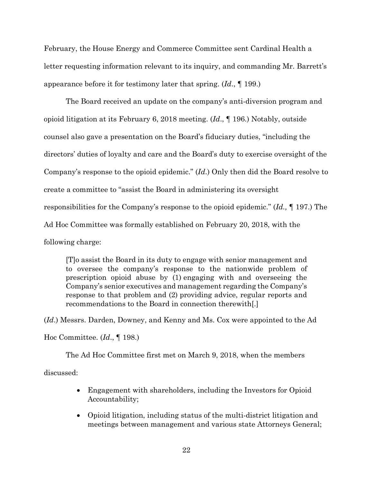February, the House Energy and Commerce Committee sent Cardinal Health a letter requesting information relevant to its inquiry, and commanding Mr. Barrett's appearance before it for testimony later that spring. (*Id*., ¶ 199.)

The Board received an update on the company's anti-diversion program and opioid litigation at its February 6, 2018 meeting. (*Id*., ¶ 196.) Notably, outside counsel also gave a presentation on the Board's fiduciary duties, "including the directors' duties of loyalty and care and the Board's duty to exercise oversight of the Company's response to the opioid epidemic." (*Id*.) Only then did the Board resolve to create a committee to "assist the Board in administering its oversight responsibilities for the Company's response to the opioid epidemic." (*Id.,* ¶ 197.) The Ad Hoc Committee was formally established on February 20, 2018, with the following charge:

[T]o assist the Board in its duty to engage with senior management and to oversee the company's response to the nationwide problem of prescription opioid abuse by (1) engaging with and overseeing the Company's senior executives and management regarding the Company's response to that problem and (2) providing advice, regular reports and recommendations to the Board in connection therewith[.]

(*Id*.) Messrs. Darden, Downey, and Kenny and Ms. Cox were appointed to the Ad

Hoc Committee. (*Id*., ¶ 198.)

The Ad Hoc Committee first met on March 9, 2018, when the members

discussed:

- Engagement with shareholders, including the Investors for Opioid Accountability;
- Opioid litigation, including status of the multi-district litigation and meetings between management and various state Attorneys General;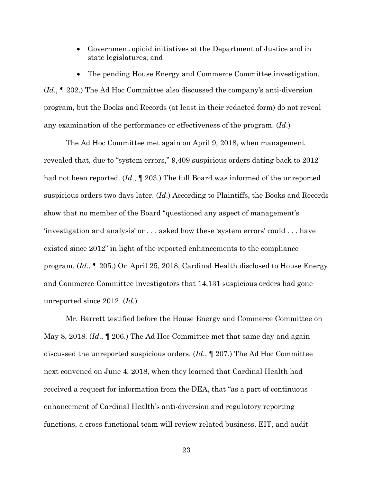• Government opioid initiatives at the Department of Justice and in state legislatures; and

• The pending House Energy and Commerce Committee investigation. (*Id*., ¶ 202.) The Ad Hoc Committee also discussed the company's anti-diversion program, but the Books and Records (at least in their redacted form) do not reveal any examination of the performance or effectiveness of the program. (*Id*.)

The Ad Hoc Committee met again on April 9, 2018, when management revealed that, due to "system errors," 9,409 suspicious orders dating back to 2012 had not been reported. (*Id*., ¶ 203.) The full Board was informed of the unreported suspicious orders two days later. (*Id*.) According to Plaintiffs, the Books and Records show that no member of the Board "questioned any aspect of management's 'investigation and analysis' or . . . asked how these 'system errors' could . . . have existed since 2012" in light of the reported enhancements to the compliance program. (*Id*., ¶ 205.) On April 25, 2018, Cardinal Health disclosed to House Energy and Commerce Committee investigators that 14,131 suspicious orders had gone unreported since 2012. (*Id*.)

Mr. Barrett testified before the House Energy and Commerce Committee on May 8, 2018. (*Id*., ¶ 206.) The Ad Hoc Committee met that same day and again discussed the unreported suspicious orders. (*Id*., ¶ 207.) The Ad Hoc Committee next convened on June 4, 2018, when they learned that Cardinal Health had received a request for information from the DEA, that "as a part of continuous enhancement of Cardinal Health's anti-diversion and regulatory reporting functions, a cross-functional team will review related business, EIT, and audit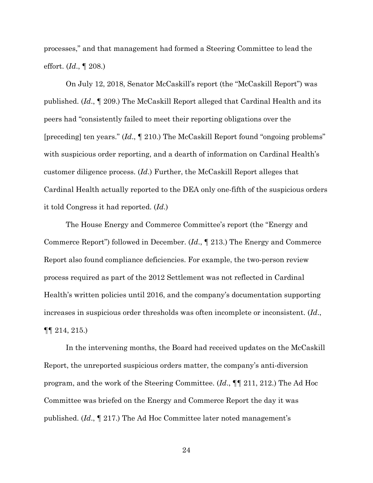processes," and that management had formed a Steering Committee to lead the effort. (*Id*., ¶ 208.)

On July 12, 2018, Senator McCaskill's report (the "McCaskill Report") was published. (*Id*., ¶ 209.) The McCaskill Report alleged that Cardinal Health and its peers had "consistently failed to meet their reporting obligations over the [preceding] ten years." (*Id*., ¶ 210.) The McCaskill Report found "ongoing problems" with suspicious order reporting, and a dearth of information on Cardinal Health's customer diligence process. (*Id*.) Further, the McCaskill Report alleges that Cardinal Health actually reported to the DEA only one-fifth of the suspicious orders it told Congress it had reported. (*Id*.)

The House Energy and Commerce Committee's report (the "Energy and Commerce Report") followed in December. (*Id*., ¶ 213.) The Energy and Commerce Report also found compliance deficiencies. For example, the two-person review process required as part of the 2012 Settlement was not reflected in Cardinal Health's written policies until 2016, and the company's documentation supporting increases in suspicious order thresholds was often incomplete or inconsistent. (*Id*., ¶¶ 214, 215.)

In the intervening months, the Board had received updates on the McCaskill Report, the unreported suspicious orders matter, the company's anti-diversion program, and the work of the Steering Committee. (*Id*., ¶¶ 211, 212.) The Ad Hoc Committee was briefed on the Energy and Commerce Report the day it was published. (*Id*., ¶ 217.) The Ad Hoc Committee later noted management's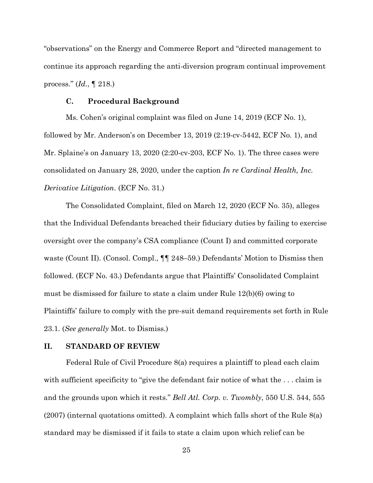"observations" on the Energy and Commerce Report and "directed management to continue its approach regarding the anti-diversion program continual improvement process." (*Id*., ¶ 218.)

### **C. Procedural Background**

Ms. Cohen's original complaint was filed on June 14, 2019 (ECF No. 1), followed by Mr. Anderson's on December 13, 2019 (2:19-cv-5442, ECF No. 1), and Mr. Splaine's on January 13, 2020 (2:20-cv-203, ECF No. 1). The three cases were consolidated on January 28, 2020, under the caption *In re Cardinal Health, Inc. Derivative Litigation*. (ECF No. 31.)

The Consolidated Complaint, filed on March 12, 2020 (ECF No. 35), alleges that the Individual Defendants breached their fiduciary duties by failing to exercise oversight over the company's CSA compliance (Count I) and committed corporate waste (Count II). (Consol. Compl.,  $\P\P$  248–59.) Defendants' Motion to Dismiss then followed. (ECF No. 43.) Defendants argue that Plaintiffs' Consolidated Complaint must be dismissed for failure to state a claim under Rule 12(b)(6) owing to Plaintiffs' failure to comply with the pre-suit demand requirements set forth in Rule 23.1. (*See generally* Mot. to Dismiss.)

### **II. STANDARD OF REVIEW**

Federal Rule of Civil Procedure 8(a) requires a plaintiff to plead each claim with sufficient specificity to "give the defendant fair notice of what the ... claim is and the grounds upon which it rests." *Bell Atl. Corp. v. Twombly*, 550 U.S. 544, 555 (2007) (internal quotations omitted). A complaint which falls short of the Rule 8(a) standard may be dismissed if it fails to state a claim upon which relief can be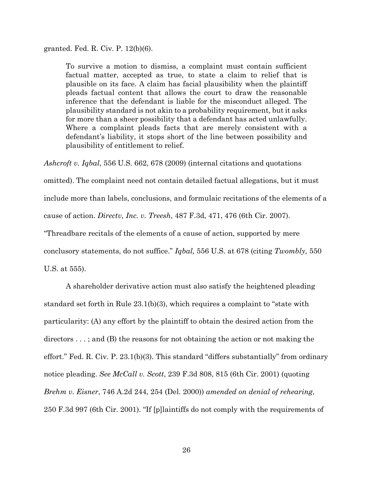granted. Fed. R. Civ. P. 12(b)(6).

To survive a motion to dismiss, a complaint must contain sufficient factual matter, accepted as true, to state a claim to relief that is plausible on its face. A claim has facial plausibility when the plaintiff pleads factual content that allows the court to draw the reasonable inference that the defendant is liable for the misconduct alleged. The plausibility standard is not akin to a probability requirement, but it asks for more than a sheer possibility that a defendant has acted unlawfully. Where a complaint pleads facts that are merely consistent with a defendant's liability, it stops short of the line between possibility and plausibility of entitlement to relief.

*Ashcroft v. Iqbal*, 556 U.S. 662, 678 (2009) (internal citations and quotations

omitted). The complaint need not contain detailed factual allegations, but it must include more than labels, conclusions, and formulaic recitations of the elements of a

cause of action. *Directv, Inc. v. Treesh*, 487 F.3d, 471, 476 (6th Cir. 2007).

"Threadbare recitals of the elements of a cause of action, supported by mere

conclusory statements, do not suffice." *Iqbal,* 556 U.S. at 678 (citing *Twombly,* 550

U.S. at 555).

A shareholder derivative action must also satisfy the heightened pleading standard set forth in Rule 23.1(b)(3), which requires a complaint to "state with particularity: (A) any effort by the plaintiff to obtain the desired action from the directors . . . ; and (B) the reasons for not obtaining the action or not making the effort." Fed. R. Civ. P. 23.1(b)(3). This standard "differs substantially" from ordinary notice pleading. *See McCall v. Scott*, 239 F.3d 808, 815 (6th Cir. 2001) (quoting *Brehm v. Eisner*, 746 A.2d 244, 254 (Del. 2000)) *amended on denial of rehearing*, 250 F.3d 997 (6th Cir. 2001). "If [p]laintiffs do not comply with the requirements of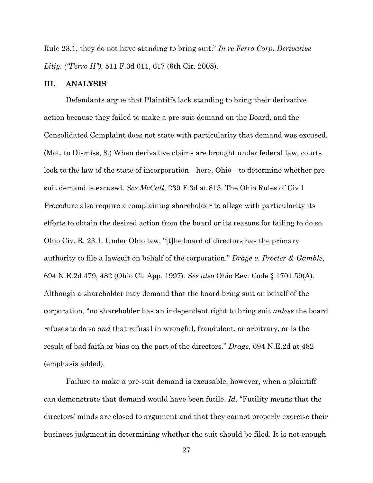Rule 23.1, they do not have standing to bring suit." *In re Ferro Corp. Derivative Litig. ("Ferro II")*, 511 F.3d 611, 617 (6th Cir. 2008).

### **III. ANALYSIS**

Defendants argue that Plaintiffs lack standing to bring their derivative action because they failed to make a pre-suit demand on the Board, and the Consolidated Complaint does not state with particularity that demand was excused. (Mot. to Dismiss, 8.) When derivative claims are brought under federal law, courts look to the law of the state of incorporation—here, Ohio—to determine whether presuit demand is excused. *See McCall*, 239 F.3d at 815. The Ohio Rules of Civil Procedure also require a complaining shareholder to allege with particularity its efforts to obtain the desired action from the board or its reasons for failing to do so. Ohio Civ. R. 23.1. Under Ohio law, "[t]he board of directors has the primary authority to file a lawsuit on behalf of the corporation." *Drage v. Procter & Gamble*, 694 N.E.2d 479, 482 (Ohio Ct. App. 1997). *See also* Ohio Rev. Code § 1701.59(A). Although a shareholder may demand that the board bring suit on behalf of the corporation, "no shareholder has an independent right to bring suit *unless* the board refuses to do so *and* that refusal in wrongful, fraudulent, or arbitrary, or is the result of bad faith or bias on the part of the directors." *Drage*, 694 N.E.2d at 482 (emphasis added).

Failure to make a pre-suit demand is excusable, however, when a plaintiff can demonstrate that demand would have been futile. *Id*. "Futility means that the directors' minds are closed to argument and that they cannot properly exercise their business judgment in determining whether the suit should be filed. It is not enough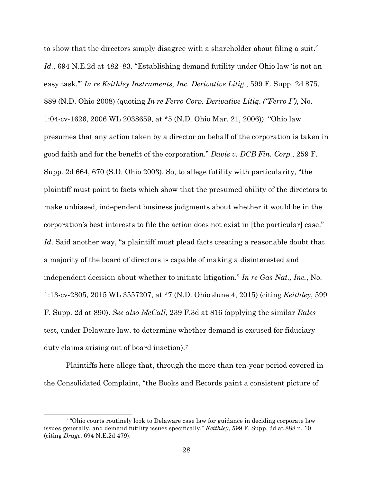to show that the directors simply disagree with a shareholder about filing a suit." *Id.*, 694 N.E.2d at 482–83. "Establishing demand futility under Ohio law 'is not an easy task.'" *In re Keithley Instruments, Inc. Derivative Litig.*, 599 F. Supp. 2d 875, 889 (N.D. Ohio 2008) (quoting *In re Ferro Corp. Derivative Litig*. *("Ferro I")*, No. 1:04-cv-1626, 2006 WL 2038659, at \*5 (N.D. Ohio Mar. 21, 2006)). "Ohio law presumes that any action taken by a director on behalf of the corporation is taken in good faith and for the benefit of the corporation." *Davis v. DCB Fin. Corp.*, 259 F. Supp. 2d 664, 670 (S.D. Ohio 2003). So, to allege futility with particularity, "the plaintiff must point to facts which show that the presumed ability of the directors to make unbiased, independent business judgments about whether it would be in the corporation's best interests to file the action does not exist in [the particular] case." Id. Said another way, "a plaintiff must plead facts creating a reasonable doubt that a majority of the board of directors is capable of making a disinterested and independent decision about whether to initiate litigation." *In re Gas Nat., Inc.*, No. 1:13-cv-2805, 2015 WL 3557207, at \*7 (N.D. Ohio June 4, 2015) (citing *Keithley*, 599 F. Supp. 2d at 890). *See also McCall*, 239 F.3d at 816 (applying the similar *Rales* test, under Delaware law, to determine whether demand is excused for fiduciary duty claims arising out of board inaction).7

Plaintiffs here allege that, through the more than ten-year period covered in the Consolidated Complaint, "the Books and Records paint a consistent picture of

<sup>7</sup> "Ohio courts routinely look to Delaware case law for guidance in deciding corporate law issues generally, and demand futility issues specifically." *Keithley*, 599 F. Supp. 2d at 888 n. 10 (citing *Drage*, 694 N.E.2d 479).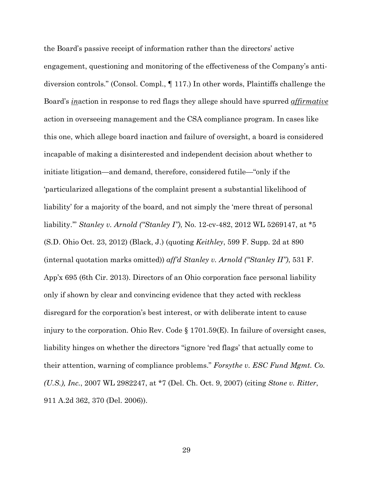the Board's passive receipt of information rather than the directors' active engagement, questioning and monitoring of the effectiveness of the Company's antidiversion controls." (Consol. Compl., ¶ 117.) In other words, Plaintiffs challenge the Board's *in*action in response to red flags they allege should have spurred *affirmative* action in overseeing management and the CSA compliance program. In cases like this one, which allege board inaction and failure of oversight, a board is considered incapable of making a disinterested and independent decision about whether to initiate litigation—and demand, therefore, considered futile—"only if the 'particularized allegations of the complaint present a substantial likelihood of liability' for a majority of the board, and not simply the 'mere threat of personal liability.'" *Stanley v. Arnold ("Stanley I")*, No. 12-cv-482, 2012 WL 5269147, at \*5 (S.D. Ohio Oct. 23, 2012) (Black, J.) (quoting *Keithley*, 599 F. Supp. 2d at 890 (internal quotation marks omitted)) *aff'd Stanley v. Arnold ("Stanley II")*, 531 F. App'x 695 (6th Cir. 2013). Directors of an Ohio corporation face personal liability only if shown by clear and convincing evidence that they acted with reckless disregard for the corporation's best interest, or with deliberate intent to cause injury to the corporation. Ohio Rev. Code § 1701.59(E). In failure of oversight cases, liability hinges on whether the directors "ignore 'red flags' that actually come to their attention, warning of compliance problems." *Forsythe v. ESC Fund Mgmt. Co. (U.S.), Inc.*, 2007 WL 2982247, at \*7 (Del. Ch. Oct. 9, 2007) (citing *Stone v. Ritter*, 911 A.2d 362, 370 (Del. 2006)).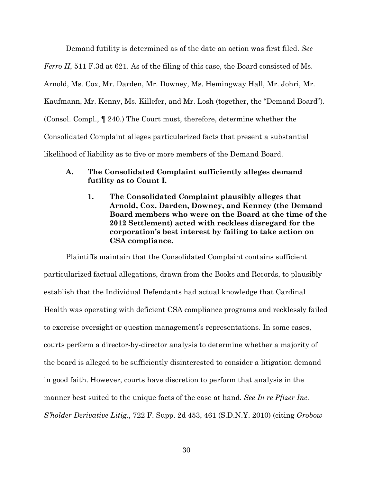Demand futility is determined as of the date an action was first filed. *See Ferro II*, 511 F.3d at 621. As of the filing of this case, the Board consisted of Ms. Arnold, Ms. Cox, Mr. Darden, Mr. Downey, Ms. Hemingway Hall, Mr. Johri, Mr. Kaufmann, Mr. Kenny, Ms. Killefer, and Mr. Losh (together, the "Demand Board"). (Consol. Compl., ¶ 240.) The Court must, therefore, determine whether the Consolidated Complaint alleges particularized facts that present a substantial likelihood of liability as to five or more members of the Demand Board.

# **A. The Consolidated Complaint sufficiently alleges demand futility as to Count I.**

**1. The Consolidated Complaint plausibly alleges that Arnold, Cox, Darden, Downey, and Kenney (the Demand Board members who were on the Board at the time of the 2012 Settlement) acted with reckless disregard for the corporation's best interest by failing to take action on CSA compliance.** 

Plaintiffs maintain that the Consolidated Complaint contains sufficient particularized factual allegations, drawn from the Books and Records, to plausibly establish that the Individual Defendants had actual knowledge that Cardinal Health was operating with deficient CSA compliance programs and recklessly failed to exercise oversight or question management's representations. In some cases, courts perform a director-by-director analysis to determine whether a majority of the board is alleged to be sufficiently disinterested to consider a litigation demand in good faith. However, courts have discretion to perform that analysis in the manner best suited to the unique facts of the case at hand. *See In re Pfizer Inc. S'holder Derivative Litig.*, 722 F. Supp. 2d 453, 461 (S.D.N.Y. 2010) (citing *Grobow*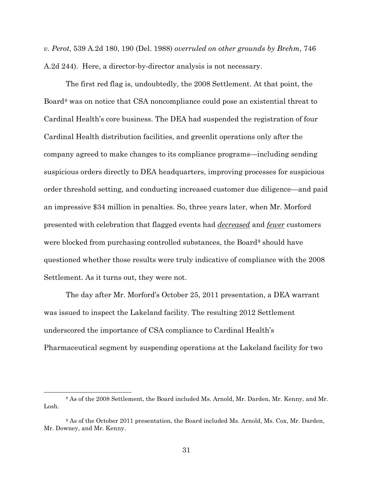*v. Perot*, 539 A.2d 180, 190 (Del. 1988) *overruled on other grounds by Brehm*, 746 A.2d 244). Here, a director-by-director analysis is not necessary.

The first red flag is, undoubtedly, the 2008 Settlement. At that point, the Board8 was on notice that CSA noncompliance could pose an existential threat to Cardinal Health's core business. The DEA had suspended the registration of four Cardinal Health distribution facilities, and greenlit operations only after the company agreed to make changes to its compliance programs—including sending suspicious orders directly to DEA headquarters, improving processes for suspicious order threshold setting, and conducting increased customer due diligence—and paid an impressive \$34 million in penalties. So, three years later, when Mr. Morford presented with celebration that flagged events had *decreased* and *fewer* customers were blocked from purchasing controlled substances, the Board<sup>9</sup> should have questioned whether those results were truly indicative of compliance with the 2008 Settlement. As it turns out, they were not.

The day after Mr. Morford's October 25, 2011 presentation, a DEA warrant was issued to inspect the Lakeland facility. The resulting 2012 Settlement underscored the importance of CSA compliance to Cardinal Health's Pharmaceutical segment by suspending operations at the Lakeland facility for two

<sup>8</sup> As of the 2008 Settlement, the Board included Ms. Arnold, Mr. Darden, Mr. Kenny, and Mr. Losh.

<sup>9</sup> As of the October 2011 presentation, the Board included Ms. Arnold, Ms. Cox, Mr. Darden, Mr. Downey, and Mr. Kenny.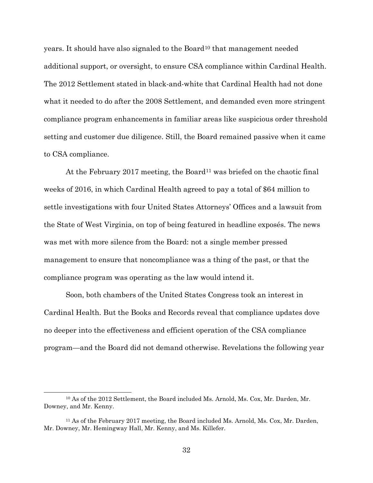years. It should have also signaled to the Board10 that management needed additional support, or oversight, to ensure CSA compliance within Cardinal Health. The 2012 Settlement stated in black-and-white that Cardinal Health had not done what it needed to do after the 2008 Settlement, and demanded even more stringent compliance program enhancements in familiar areas like suspicious order threshold setting and customer due diligence. Still, the Board remained passive when it came to CSA compliance.

At the February 2017 meeting, the Board<sup>11</sup> was briefed on the chaotic final weeks of 2016, in which Cardinal Health agreed to pay a total of \$64 million to settle investigations with four United States Attorneys' Offices and a lawsuit from the State of West Virginia, on top of being featured in headline exposés. The news was met with more silence from the Board: not a single member pressed management to ensure that noncompliance was a thing of the past, or that the compliance program was operating as the law would intend it.

Soon, both chambers of the United States Congress took an interest in Cardinal Health. But the Books and Records reveal that compliance updates dove no deeper into the effectiveness and efficient operation of the CSA compliance program—and the Board did not demand otherwise. Revelations the following year

<sup>10</sup> As of the 2012 Settlement, the Board included Ms. Arnold, Ms. Cox, Mr. Darden, Mr. Downey, and Mr. Kenny.

<sup>11</sup> As of the February 2017 meeting, the Board included Ms. Arnold, Ms. Cox, Mr. Darden, Mr. Downey, Mr. Hemingway Hall, Mr. Kenny, and Ms. Killefer.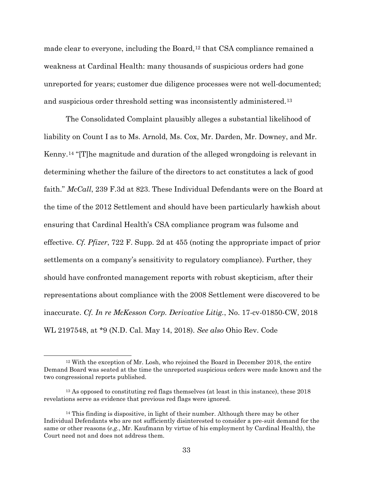made clear to everyone, including the Board,  $12$  that CSA compliance remained a weakness at Cardinal Health: many thousands of suspicious orders had gone unreported for years; customer due diligence processes were not well-documented; and suspicious order threshold setting was inconsistently administered.13

The Consolidated Complaint plausibly alleges a substantial likelihood of liability on Count I as to Ms. Arnold, Ms. Cox, Mr. Darden, Mr. Downey, and Mr. Kenny.14 "[T]he magnitude and duration of the alleged wrongdoing is relevant in determining whether the failure of the directors to act constitutes a lack of good faith." *McCall*, 239 F.3d at 823. These Individual Defendants were on the Board at the time of the 2012 Settlement and should have been particularly hawkish about ensuring that Cardinal Health's CSA compliance program was fulsome and effective. *Cf. Pfizer*, 722 F. Supp. 2d at 455 (noting the appropriate impact of prior settlements on a company's sensitivity to regulatory compliance). Further, they should have confronted management reports with robust skepticism, after their representations about compliance with the 2008 Settlement were discovered to be inaccurate. *Cf. In re McKesson Corp. Derivative Litig.*, No. 17-cv-01850-CW, 2018 WL 2197548, at \*9 (N.D. Cal. May 14, 2018). *See also* Ohio Rev. Code

<sup>12</sup> With the exception of Mr. Losh, who rejoined the Board in December 2018, the entire Demand Board was seated at the time the unreported suspicious orders were made known and the two congressional reports published.

<sup>&</sup>lt;sup>13</sup> As opposed to constituting red flags themselves (at least in this instance), these 2018 revelations serve as evidence that previous red flags were ignored.

 $14$  This finding is dispositive, in light of their number. Although there may be other Individual Defendants who are not sufficiently disinterested to consider a pre-suit demand for the same or other reasons (*e.g.*, Mr. Kaufmann by virtue of his employment by Cardinal Health), the Court need not and does not address them.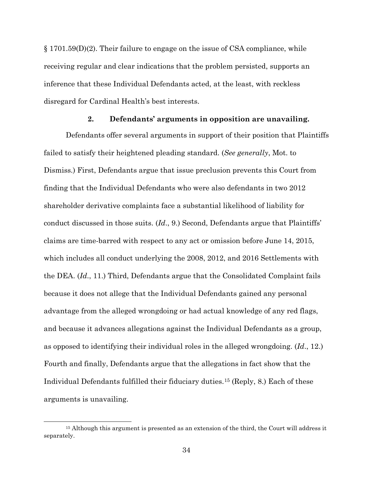§ 1701.59(D)(2). Their failure to engage on the issue of CSA compliance, while receiving regular and clear indications that the problem persisted, supports an inference that these Individual Defendants acted, at the least, with reckless disregard for Cardinal Health's best interests.

### **2. Defendants' arguments in opposition are unavailing.**

Defendants offer several arguments in support of their position that Plaintiffs failed to satisfy their heightened pleading standard. (*See generally*, Mot. to Dismiss.) First, Defendants argue that issue preclusion prevents this Court from finding that the Individual Defendants who were also defendants in two 2012 shareholder derivative complaints face a substantial likelihood of liability for conduct discussed in those suits. (*Id*., 9.) Second, Defendants argue that Plaintiffs' claims are time-barred with respect to any act or omission before June 14, 2015, which includes all conduct underlying the 2008, 2012, and 2016 Settlements with the DEA. (*Id*., 11.) Third, Defendants argue that the Consolidated Complaint fails because it does not allege that the Individual Defendants gained any personal advantage from the alleged wrongdoing or had actual knowledge of any red flags, and because it advances allegations against the Individual Defendants as a group, as opposed to identifying their individual roles in the alleged wrongdoing. (*Id*., 12.) Fourth and finally, Defendants argue that the allegations in fact show that the Individual Defendants fulfilled their fiduciary duties.15 (Reply, 8.) Each of these arguments is unavailing.

<sup>15</sup> Although this argument is presented as an extension of the third, the Court will address it separately.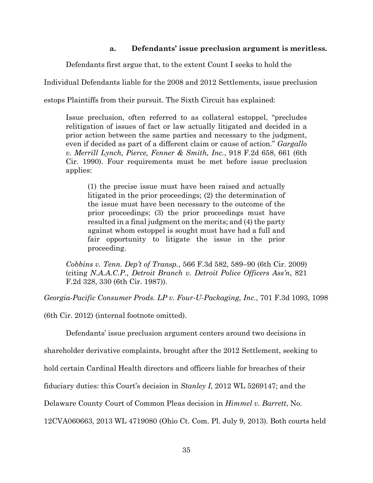# **a. Defendants' issue preclusion argument is meritless.**

Defendants first argue that, to the extent Count I seeks to hold the

Individual Defendants liable for the 2008 and 2012 Settlements, issue preclusion

estops Plaintiffs from their pursuit. The Sixth Circuit has explained:

Issue preclusion, often referred to as collateral estoppel, "precludes relitigation of issues of fact or law actually litigated and decided in a prior action between the same parties and necessary to the judgment, even if decided as part of a different claim or cause of action." *Gargallo v. Merrill Lynch, Pierce, Fenner & Smith, Inc.*, 918 F.2d 658, 661 (6th Cir. 1990). Four requirements must be met before issue preclusion applies:

(1) the precise issue must have been raised and actually litigated in the prior proceedings; (2) the determination of the issue must have been necessary to the outcome of the prior proceedings; (3) the prior proceedings must have resulted in a final judgment on the merits; and (4) the party against whom estoppel is sought must have had a full and fair opportunity to litigate the issue in the prior proceeding.

*Cobbins v. Tenn. Dep't of Transp.*, 566 F.3d 582, 589–90 (6th Cir. 2009) (citing *N.A.A.C.P., Detroit Branch v. Detroit Police Officers Ass'n*, 821 F.2d 328, 330 (6th Cir. 1987)).

*Georgia-Pacific Consumer Prods. LP v. Four-U-Packaging, Inc.*, 701 F.3d 1093, 1098

(6th Cir. 2012) (internal footnote omitted).

Defendants' issue preclusion argument centers around two decisions in

shareholder derivative complaints, brought after the 2012 Settlement, seeking to

hold certain Cardinal Health directors and officers liable for breaches of their

fiduciary duties: this Court's decision in *Stanley I*, 2012 WL 5269147; and the

Delaware County Court of Common Pleas decision in *Himmel v. Barrett*, No.

12CVA060663, 2013 WL 4719080 (Ohio Ct. Com. Pl. July 9, 2013). Both courts held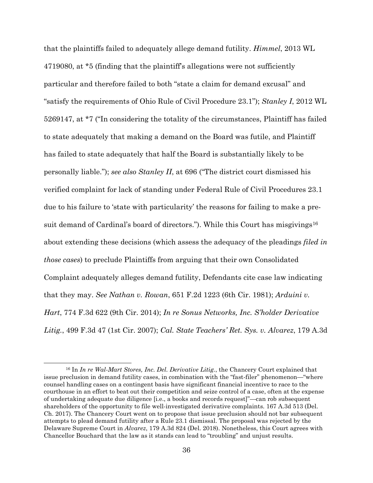that the plaintiffs failed to adequately allege demand futility. *Himmel*, 2013 WL 4719080, at \*5 (finding that the plaintiff's allegations were not sufficiently particular and therefore failed to both "state a claim for demand excusal" and "satisfy the requirements of Ohio Rule of Civil Procedure 23.1"); *Stanley I*, 2012 WL 5269147, at \*7 ("In considering the totality of the circumstances, Plaintiff has failed to state adequately that making a demand on the Board was futile, and Plaintiff has failed to state adequately that half the Board is substantially likely to be personally liable."); *see also Stanley II*, at 696 ("The district court dismissed his verified complaint for lack of standing under Federal Rule of Civil Procedures 23.1 due to his failure to 'state with particularity' the reasons for failing to make a presuit demand of Cardinal's board of directors."). While this Court has misgivings<sup>16</sup> about extending these decisions (which assess the adequacy of the pleadings *filed in those cases*) to preclude Plaintiffs from arguing that their own Consolidated Complaint adequately alleges demand futility, Defendants cite case law indicating that they may. *See Nathan v. Rowan*, 651 F.2d 1223 (6th Cir. 1981); *Arduini v. Hart*, 774 F.3d 622 (9th Cir. 2014); *In re Sonus Networks, Inc. S'holder Derivative Litig.*, 499 F.3d 47 (1st Cir. 2007); *Cal. State Teachers' Ret. Sys. v. Alvarez*, 179 A.3d

<sup>16</sup> In *In re Wal-Mart Stores, Inc. Del. Derivative Litig.*, the Chancery Court explained that issue preclusion in demand futility cases, in combination with the "fast-filer" phenomenon—"where counsel handling cases on a contingent basis have significant financial incentive to race to the courthouse in an effort to beat out their competition and seize control of a case, often at the expense of undertaking adequate due diligence [i.e., a books and records request]"—can rob subsequent shareholders of the opportunity to file well-investigated derivative complaints. 167 A.3d 513 (Del. Ch. 2017). The Chancery Court went on to propose that issue preclusion should not bar subsequent attempts to plead demand futility after a Rule 23.1 dismissal. The proposal was rejected by the Delaware Supreme Court in *Alvarez*, 179 A.3d 824 (Del. 2018). Nonetheless, this Court agrees with Chancellor Bouchard that the law as it stands can lead to "troubling" and unjust results.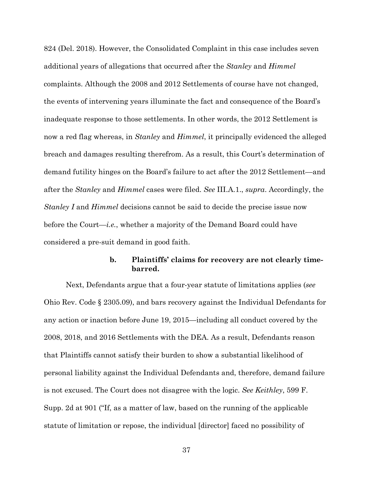824 (Del. 2018). However, the Consolidated Complaint in this case includes seven additional years of allegations that occurred after the *Stanley* and *Himmel* complaints. Although the 2008 and 2012 Settlements of course have not changed, the events of intervening years illuminate the fact and consequence of the Board's inadequate response to those settlements. In other words, the 2012 Settlement is now a red flag whereas, in *Stanley* and *Himmel*, it principally evidenced the alleged breach and damages resulting therefrom. As a result, this Court's determination of demand futility hinges on the Board's failure to act after the 2012 Settlement—and after the *Stanley* and *Himmel* cases were filed. *See* III.A.1., *supra*. Accordingly, the *Stanley I* and *Himmel* decisions cannot be said to decide the precise issue now before the Court—*i.e.*, whether a majority of the Demand Board could have considered a pre-suit demand in good faith.

# **b. Plaintiffs' claims for recovery are not clearly timebarred.**

Next, Defendants argue that a four-year statute of limitations applies (*see* Ohio Rev. Code § 2305.09), and bars recovery against the Individual Defendants for any action or inaction before June 19, 2015—including all conduct covered by the 2008, 2018, and 2016 Settlements with the DEA. As a result, Defendants reason that Plaintiffs cannot satisfy their burden to show a substantial likelihood of personal liability against the Individual Defendants and, therefore, demand failure is not excused. The Court does not disagree with the logic. *See Keithley*, 599 F. Supp. 2d at 901 ("If, as a matter of law, based on the running of the applicable statute of limitation or repose, the individual [director] faced no possibility of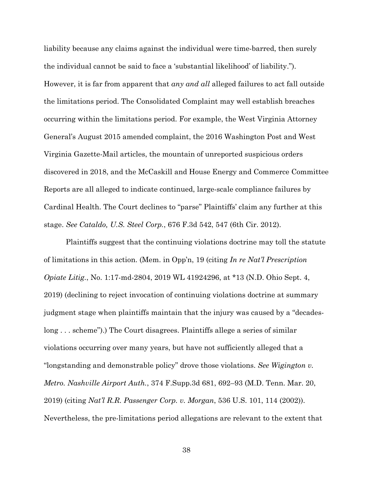liability because any claims against the individual were time-barred, then surely the individual cannot be said to face a 'substantial likelihood' of liability."). However, it is far from apparent that *any and all* alleged failures to act fall outside the limitations period. The Consolidated Complaint may well establish breaches occurring within the limitations period. For example, the West Virginia Attorney General's August 2015 amended complaint, the 2016 Washington Post and West Virginia Gazette-Mail articles, the mountain of unreported suspicious orders discovered in 2018, and the McCaskill and House Energy and Commerce Committee Reports are all alleged to indicate continued, large-scale compliance failures by Cardinal Health. The Court declines to "parse" Plaintiffs' claim any further at this stage. *See Cataldo, U.S. Steel Corp.*, 676 F.3d 542, 547 (6th Cir. 2012).

Plaintiffs suggest that the continuing violations doctrine may toll the statute of limitations in this action. (Mem. in Opp'n, 19 (citing *In re Nat'l Prescription Opiate Litig.*, No. 1:17-md-2804, 2019 WL 41924296, at \*13 (N.D. Ohio Sept. 4, 2019) (declining to reject invocation of continuing violations doctrine at summary judgment stage when plaintiffs maintain that the injury was caused by a "decadeslong . . . scheme").) The Court disagrees. Plaintiffs allege a series of similar violations occurring over many years, but have not sufficiently alleged that a "longstanding and demonstrable policy" drove those violations. *See Wigington v. Metro. Nashville Airport Auth.*, 374 F.Supp.3d 681, 692–93 (M.D. Tenn. Mar. 20, 2019) (citing *Nat'l R.R. Passenger Corp. v. Morgan*, 536 U.S. 101, 114 (2002)). Nevertheless, the pre-limitations period allegations are relevant to the extent that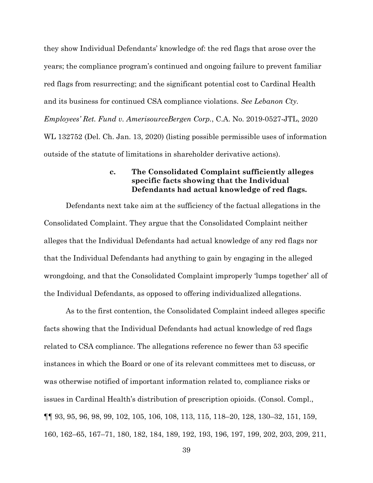they show Individual Defendants' knowledge of: the red flags that arose over the years; the compliance program's continued and ongoing failure to prevent familiar red flags from resurrecting; and the significant potential cost to Cardinal Health and its business for continued CSA compliance violations. *See Lebanon Cty. Employees' Ret. Fund v. AmerisourceBergen Corp.*, C.A. No. 2019-0527-JTL, 2020 WL 132752 (Del. Ch. Jan. 13, 2020) (listing possible permissible uses of information outside of the statute of limitations in shareholder derivative actions).

## **c. The Consolidated Complaint sufficiently alleges specific facts showing that the Individual Defendants had actual knowledge of red flags.**

Defendants next take aim at the sufficiency of the factual allegations in the Consolidated Complaint. They argue that the Consolidated Complaint neither alleges that the Individual Defendants had actual knowledge of any red flags nor that the Individual Defendants had anything to gain by engaging in the alleged wrongdoing, and that the Consolidated Complaint improperly 'lumps together' all of the Individual Defendants, as opposed to offering individualized allegations.

As to the first contention, the Consolidated Complaint indeed alleges specific facts showing that the Individual Defendants had actual knowledge of red flags related to CSA compliance. The allegations reference no fewer than 53 specific instances in which the Board or one of its relevant committees met to discuss, or was otherwise notified of important information related to, compliance risks or issues in Cardinal Health's distribution of prescription opioids. (Consol. Compl., ¶¶ 93, 95, 96, 98, 99, 102, 105, 106, 108, 113, 115, 118–20, 128, 130–32, 151, 159, 160, 162–65, 167–71, 180, 182, 184, 189, 192, 193, 196, 197, 199, 202, 203, 209, 211,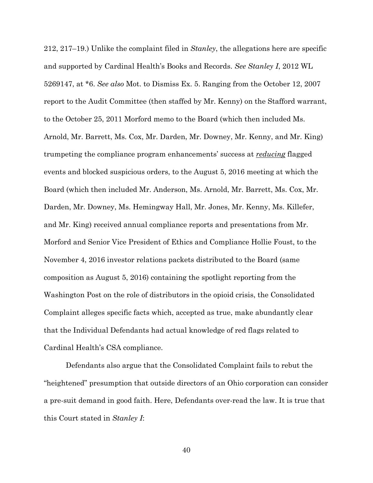212, 217–19.) Unlike the complaint filed in *Stanley*, the allegations here are specific and supported by Cardinal Health's Books and Records. *See Stanley I*, 2012 WL 5269147, at \*6. *See also* Mot. to Dismiss Ex. 5. Ranging from the October 12, 2007 report to the Audit Committee (then staffed by Mr. Kenny) on the Stafford warrant, to the October 25, 2011 Morford memo to the Board (which then included Ms. Arnold, Mr. Barrett, Ms. Cox, Mr. Darden, Mr. Downey, Mr. Kenny, and Mr. King) trumpeting the compliance program enhancements' success at *reducing* flagged events and blocked suspicious orders, to the August 5, 2016 meeting at which the Board (which then included Mr. Anderson, Ms. Arnold, Mr. Barrett, Ms. Cox, Mr. Darden, Mr. Downey, Ms. Hemingway Hall, Mr. Jones, Mr. Kenny, Ms. Killefer, and Mr. King) received annual compliance reports and presentations from Mr. Morford and Senior Vice President of Ethics and Compliance Hollie Foust, to the November 4, 2016 investor relations packets distributed to the Board (same composition as August 5, 2016) containing the spotlight reporting from the Washington Post on the role of distributors in the opioid crisis, the Consolidated Complaint alleges specific facts which, accepted as true, make abundantly clear that the Individual Defendants had actual knowledge of red flags related to Cardinal Health's CSA compliance.

Defendants also argue that the Consolidated Complaint fails to rebut the "heightened" presumption that outside directors of an Ohio corporation can consider a pre-suit demand in good faith. Here, Defendants over-read the law. It is true that this Court stated in *Stanley I*: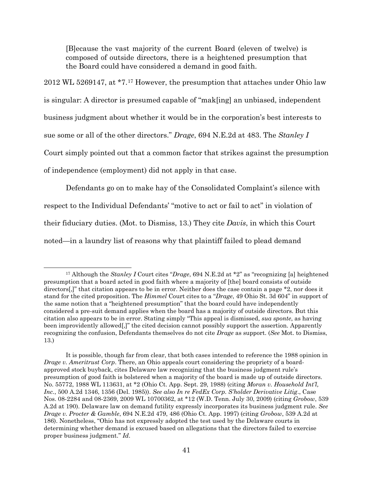[B]ecause the vast majority of the current Board (eleven of twelve) is composed of outside directors, there is a heightened presumption that the Board could have considered a demand in good faith.

2012 WL 5269147, at \*7.17 However, the presumption that attaches under Ohio law is singular: A director is presumed capable of "mak[ing] an unbiased, independent business judgment about whether it would be in the corporation's best interests to sue some or all of the other directors." *Drage*, 694 N.E.2d at 483. The *Stanley I* Court simply pointed out that a common factor that strikes against the presumption of independence (employment) did not apply in that case.

Defendants go on to make hay of the Consolidated Complaint's silence with respect to the Individual Defendants' "motive to act or fail to act" in violation of their fiduciary duties. (Mot. to Dismiss, 13.) They cite *Davis*, in which this Court noted—in a laundry list of reasons why that plaintiff failed to plead demand

<sup>17</sup> Although the *Stanley I* Court cites "*Drage*, 694 N.E.2d at \*2" as "recognizing [a] heightened presumption that a board acted in good faith where a majority of [the] board consists of outside directors[,]" that citation appears to be in error. Neither does the case contain a page \*2, nor does it stand for the cited proposition. The *Himmel* Court cites to a "*Drage*, 49 Ohio St. 3d 604" in support of the same notion that a "heightened presumption" that the board could have independently considered a pre-suit demand applies when the board has a majority of outside directors. But this citation also appears to be in error. Stating simply "This appeal is dismissed, *sua sponte*, as having been improvidently allowed[,]" the cited decision cannot possibly support the assertion. Apparently recognizing the confusion, Defendants themselves do not cite *Drage* as support. (*See* Mot. to Dismiss, 13.)

It is possible, though far from clear, that both cases intended to reference the 1988 opinion in *Drage v. Ameritrust Corp*. There, an Ohio appeals court considering the propriety of a boardapproved stock buyback, cites Delaware law recognizing that the business judgment rule's presumption of good faith is bolstered when a majority of the board is made up of outside directors. No. 55772, 1988 WL 113631, at \*2 (Ohio Ct. App. Sept. 29, 1988) (citing *Moran v. Household Int'l, Inc.*, 500 A.2d 1346, 1356 (Del. 1985)). *See also In re FedEx Corp. S'holder Derivative Litig*., Case Nos. 08-2284 and 08-2369, 2009 WL 10700362, at \*12 (W.D. Tenn. July 30, 2009) (citing *Grobow*, 539 A.2d at 190). Delaware law on demand futility expressly incorporates its business judgment rule. *See Drage v. Procter & Gamble*, 694 N.E.2d 479, 486 (Ohio Ct. App. 1997) (citing *Grobow*, 539 A.2d at 186). Nonetheless, "Ohio has not expressly adopted the test used by the Delaware courts in determining whether demand is excused based on allegations that the directors failed to exercise proper business judgment." *Id*.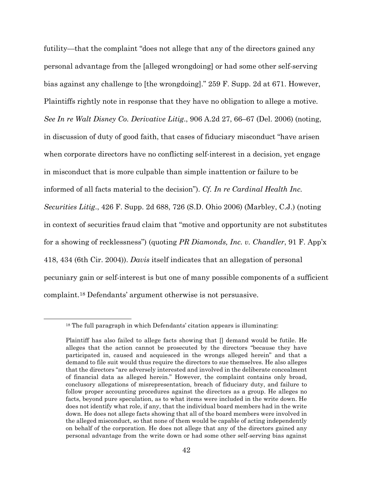futility—that the complaint "does not allege that any of the directors gained any personal advantage from the [alleged wrongdoing] or had some other self-serving bias against any challenge to [the wrongdoing]." 259 F. Supp. 2d at 671. However, Plaintiffs rightly note in response that they have no obligation to allege a motive. *See In re Walt Disney Co. Derivative Litig*., 906 A.2d 27, 66–67 (Del. 2006) (noting, in discussion of duty of good faith, that cases of fiduciary misconduct "have arisen when corporate directors have no conflicting self-interest in a decision, yet engage in misconduct that is more culpable than simple inattention or failure to be informed of all facts material to the decision"). *Cf. In re Cardinal Health Inc. Securities Litig*., 426 F. Supp. 2d 688, 726 (S.D. Ohio 2006) (Marbley, C.J.) (noting in context of securities fraud claim that "motive and opportunity are not substitutes for a showing of recklessness") (quoting *PR Diamonds, Inc. v. Chandler*, 91 F. App'x 418, 434 (6th Cir. 2004)). *Davis* itself indicates that an allegation of personal pecuniary gain or self-interest is but one of many possible components of a sufficient complaint.18 Defendants' argument otherwise is not persuasive.

<sup>18</sup> The full paragraph in which Defendants' citation appears is illuminating:

Plaintiff has also failed to allege facts showing that [] demand would be futile. He alleges that the action cannot be prosecuted by the directors "because they have participated in, caused and acquiesced in the wrongs alleged herein" and that a demand to file suit would thus require the directors to sue themselves. He also alleges that the directors "are adversely interested and involved in the deliberate concealment of financial data as alleged herein." However, the complaint contains only broad, conclusory allegations of misrepresentation, breach of fiduciary duty, and failure to follow proper accounting procedures against the directors as a group. He alleges no facts, beyond pure speculation, as to what items were included in the write down. He does not identify what role, if any, that the individual board members had in the write down. He does not allege facts showing that all of the board members were involved in the alleged misconduct, so that none of them would be capable of acting independently on behalf of the corporation. He does not allege that any of the directors gained any personal advantage from the write down or had some other self-serving bias against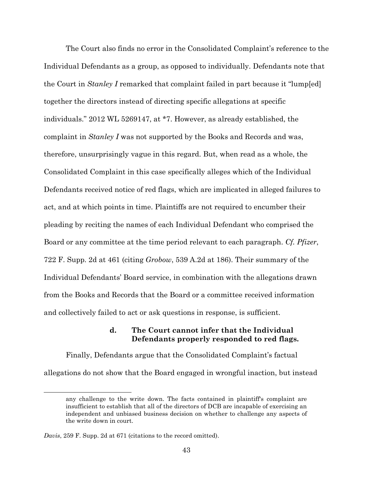The Court also finds no error in the Consolidated Complaint's reference to the Individual Defendants as a group, as opposed to individually. Defendants note that the Court in *Stanley I* remarked that complaint failed in part because it "lump[ed] together the directors instead of directing specific allegations at specific individuals." 2012 WL 5269147, at \*7. However, as already established, the complaint in *Stanley I* was not supported by the Books and Records and was, therefore, unsurprisingly vague in this regard. But, when read as a whole, the Consolidated Complaint in this case specifically alleges which of the Individual Defendants received notice of red flags, which are implicated in alleged failures to act, and at which points in time. Plaintiffs are not required to encumber their pleading by reciting the names of each Individual Defendant who comprised the Board or any committee at the time period relevant to each paragraph. *Cf. Pfizer*, 722 F. Supp. 2d at 461 (citing *Grobow*, 539 A.2d at 186). Their summary of the Individual Defendants' Board service, in combination with the allegations drawn from the Books and Records that the Board or a committee received information and collectively failed to act or ask questions in response, is sufficient.

# **d. The Court cannot infer that the Individual Defendants properly responded to red flags.**

Finally, Defendants argue that the Consolidated Complaint's factual allegations do not show that the Board engaged in wrongful inaction, but instead

any challenge to the write down. The facts contained in plaintiff's complaint are insufficient to establish that all of the directors of DCB are incapable of exercising an independent and unbiased business decision on whether to challenge any aspects of the write down in court.

*Davis*, 259 F. Supp. 2d at 671 (citations to the record omitted).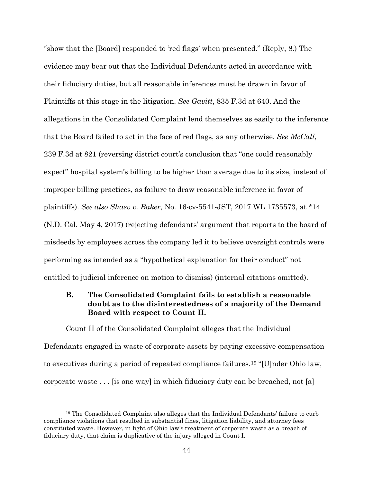"show that the [Board] responded to 'red flags' when presented." (Reply, 8.) The evidence may bear out that the Individual Defendants acted in accordance with their fiduciary duties, but all reasonable inferences must be drawn in favor of Plaintiffs at this stage in the litigation. *See Gavitt*, 835 F.3d at 640. And the allegations in the Consolidated Complaint lend themselves as easily to the inference that the Board failed to act in the face of red flags, as any otherwise. *See McCall*, 239 F.3d at 821 (reversing district court's conclusion that "one could reasonably expect" hospital system's billing to be higher than average due to its size, instead of improper billing practices, as failure to draw reasonable inference in favor of plaintiffs). *See also Shaev v. Baker*, No. 16-cv-5541-JST, 2017 WL 1735573, at \*14 (N.D. Cal. May 4, 2017) (rejecting defendants' argument that reports to the board of misdeeds by employees across the company led it to believe oversight controls were performing as intended as a "hypothetical explanation for their conduct" not entitled to judicial inference on motion to dismiss) (internal citations omitted).

# **B. The Consolidated Complaint fails to establish a reasonable doubt as to the disinterestedness of a majority of the Demand Board with respect to Count II.**

Count II of the Consolidated Complaint alleges that the Individual Defendants engaged in waste of corporate assets by paying excessive compensation to executives during a period of repeated compliance failures.19 "[U]nder Ohio law, corporate waste . . . [is one way] in which fiduciary duty can be breached, not [a]

<sup>19</sup> The Consolidated Complaint also alleges that the Individual Defendants' failure to curb compliance violations that resulted in substantial fines, litigation liability, and attorney fees constituted waste. However, in light of Ohio law's treatment of corporate waste as a breach of fiduciary duty, that claim is duplicative of the injury alleged in Count I.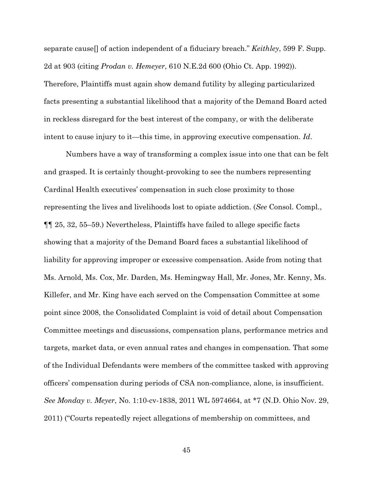separate cause[] of action independent of a fiduciary breach." *Keithley*, 599 F. Supp. 2d at 903 (citing *Prodan v. Hemeyer*, 610 N.E.2d 600 (Ohio Ct. App. 1992)). Therefore, Plaintiffs must again show demand futility by alleging particularized facts presenting a substantial likelihood that a majority of the Demand Board acted in reckless disregard for the best interest of the company, or with the deliberate intent to cause injury to it—this time, in approving executive compensation. *Id*.

Numbers have a way of transforming a complex issue into one that can be felt and grasped. It is certainly thought-provoking to see the numbers representing Cardinal Health executives' compensation in such close proximity to those representing the lives and livelihoods lost to opiate addiction. (*See* Consol. Compl., ¶¶ 25, 32, 55–59.) Nevertheless, Plaintiffs have failed to allege specific facts showing that a majority of the Demand Board faces a substantial likelihood of liability for approving improper or excessive compensation. Aside from noting that Ms. Arnold, Ms. Cox, Mr. Darden, Ms. Hemingway Hall, Mr. Jones, Mr. Kenny, Ms. Killefer, and Mr. King have each served on the Compensation Committee at some point since 2008, the Consolidated Complaint is void of detail about Compensation Committee meetings and discussions, compensation plans, performance metrics and targets, market data, or even annual rates and changes in compensation. That some of the Individual Defendants were members of the committee tasked with approving officers' compensation during periods of CSA non-compliance, alone, is insufficient. *See Monday v. Meyer*, No. 1:10-cv-1838, 2011 WL 5974664, at \*7 (N.D. Ohio Nov. 29, 2011) ("Courts repeatedly reject allegations of membership on committees, and